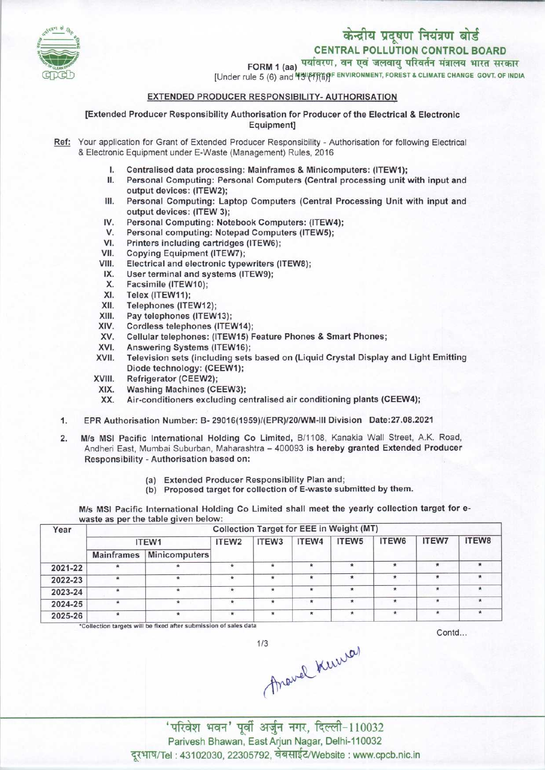

# केन्द्रीय प्रदूषण नियंत्रण बोर्ड CENTRAL POLLUTION CONTROL BOARD

CENTRAL POLLUTION CONTROL BOARD<br>FORM 1 (aa) पर्यावरण, वन एवं जलवायु परिवर्तन मंत्रालय भारत सरकार

[Under rule 5 (6) and **Helleff** fift environment, forest a climate change govt. of india

# EXTENDED PRODUCER RESPONSIBILITY- AUTHORISATION

[Extended Producer Responsibility Authorisation for Producer ofthe Electrical & Electronic Equipment]

- Ref: Your application for Grant of Extended Producer Responsibility Authorisation for following Electrical & Electronic Equipment under E-Waste (Management) Rules, 2016
	- I. Centralised data processing: Mainframes & Minicomputers: (ITEW1);
	- Personal Computing: Personal Computers (Central processing unit with input and output devices: (ITEW2);
	- III. Personal Computing: Laptop Computers (Central Processing Unit with input and output devices: (ITEW 3);
	- IV. Personal Computing: Notebook Computers: (ITEW4);<br>V. Personal computing: Notepad Computers (ITEW5); V. Personal Computing: Notebook Computers: (ITEW<br>V. Personal computing: Notebook Computers (ITEW5);<br>V. Printers including contriduce (ITEW6);
	-
	- IV. Personal Computing: Notebook Comp<br>V. Personal computing: Notepad Compu<br>VI. Printers including cartridges (ITEW6);<br>/II. Conving Equipment (ITEW7); VI. Printers including cartridges (ITEW6);<br>VII. Copying Equipment (ITEW7);<br>VIII. Electrical and electronic typewriters (I
	-
	- VI. Printers including cartridges (ITEW6);<br>VII. Copying Equipment (ITEW7);<br>VIII. Electrical and electronic typewriters (ITEW8);<br>IX. Hear terminal and evetems (ITEW9); III. Copying Equipment (TEW7);<br>III. Electrical and electronic typewriters<br>IX. User terminal and systems (ITEW9);
	- IX. User terminal and systems (ITEW9);<br>X. Facsimile (ITEW10);<br>XI. Telex (ITEW11);
	-
	- XI. Telex (ITEW11);<br>XII. Telephones (ITE
	- XII. Telephones (ITEW12);<br>XIII. Pay telephones (ITEW)
	-
	- XIII. Pay telephones (ITEW13);<br>XIV. Cordless telephones (ITEV XIV. Cordless telephones (ITEW14);<br>XV. Cellular telephones: (ITEW15) F
	- XIII. Fray telephones (ITEW13);<br>XIV. Cordiess telephones (ITEW14);<br>XV. Cellular telephones: (ITEW15) Feature Phones & Smart Phones; XV. Cellular telephones: (ITEW14)<br>XVI. Answering Systems (ITEW16);<br>XVII. Television sets (including sets)
	-
	- XVI. Answering Systems (ITEW16);<br>XVII. Television sets (including sets based on (Liquid Crystal Display and Light Emitting Diode technology: (CEEW1);
	- XVIII. Refrigerator (CEEW2);<br>XIX. Washing Machines (CI
	- XIX. Washing Machines(CEEW3);
	- Air-conditioners excluding centralised air conditioning plants (CEEW4);
	- 1. EPR Authorisation Number: B- 29016(1959)/(EPR)/20/WM-III Division Date: 27.08.2021<br>2. M/s MSI Pacific International Holding Co Limited, B/1108, Kanakia Wall Street, A.K.
	- M/s MSI Pacific International Holding Co Limited, B/1108, Kanakia Wall Street, A.K. Road, Andheri East, Mumbai Suburban, Maharashtra - 400093 is hereby granted Extended Producer Responsibility - Authorisation based on:
		- (a) Extended Producer Responsibility Plan and;
		- (b) Proposed target for collection of E-waste submitted by them.

M/s MSI Pacific International Holding Co Limited shall meet the yearly collection target for ewaste as per the table given below:

| Collection Target for EEE in Weight (MT) |               |         |                   |         |         |         |              |        |  |  |
|------------------------------------------|---------------|---------|-------------------|---------|---------|---------|--------------|--------|--|--|
| ITEW1                                    |               | ITEW2   | ITEW <sub>3</sub> | ITEW4   | ITEW5   | ITEW6   | <b>ITEW7</b> | ITEW8  |  |  |
| <b>Mainframes</b>                        | Minicomputers |         |                   |         |         |         |              |        |  |  |
| *                                        |               | $\star$ |                   | $\star$ | $\star$ | $\star$ | $\mathbf x$  | $\ast$ |  |  |
| $\ast$                                   | ×             | ∗       | $\star$           | $\ast$  | $\star$ | $\star$ |              |        |  |  |
|                                          |               | $\star$ |                   | ÷       | ٠       | $\star$ |              | $\ast$ |  |  |
| $\star$                                  | *             | *       |                   | $\star$ | $\star$ | $\star$ | $\ast$       |        |  |  |
| ₩                                        | $\star$       | $\star$ | 业                 | $\star$ | $\star$ | *       |              | $\ast$ |  |  |
|                                          |               |         |                   |         |         |         |              |        |  |  |

 $1/3$ 

ollection targets will be fixed after submissic.'

Contd...

Arouel Kurrer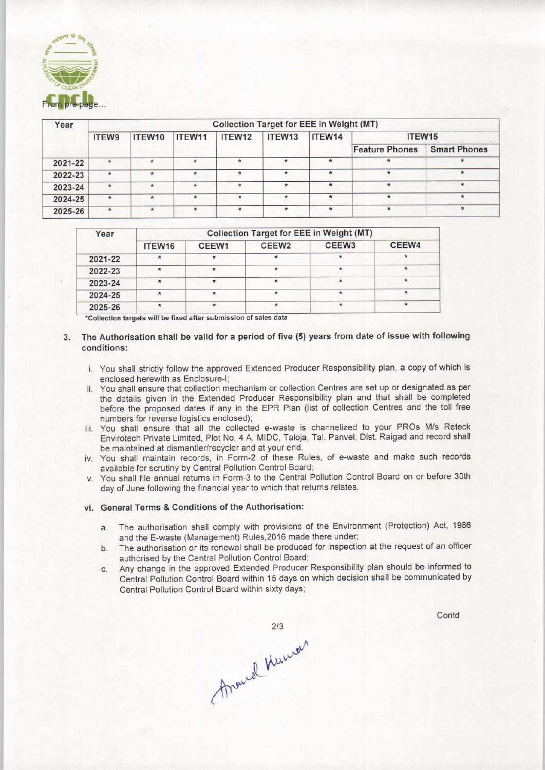

| Year    | <b>Collection Target for EEE in Weight (MT)</b> |         |         |             |         |         |                       |                     |  |  |
|---------|-------------------------------------------------|---------|---------|-------------|---------|---------|-----------------------|---------------------|--|--|
|         | ITEW9                                           | ITEW10  | ITEW11  | ITEW12      | ITEW13  | ITEW14  | ITEW15                |                     |  |  |
|         |                                                 |         |         |             |         |         | <b>Feature Phones</b> | <b>Smart Phones</b> |  |  |
| 2021-22 | $\star$                                         | ۰       |         | $\star$     | $\star$ | $\star$ | $\star$               |                     |  |  |
| 2022-23 | ۰                                               | $\star$ |         | $*$         | $\star$ | $\star$ | $\ast$                |                     |  |  |
| 2023-24 | $\star$                                         | ÷       | $\star$ | $\star$     | ÷       | $\star$ | $\star$               |                     |  |  |
| 2024-25 | $*$                                             | $\star$ |         | $\pmb{\pi}$ |         |         | $\frac{1}{2}$         |                     |  |  |
| 2025-26 | $\star$                                         | $\star$ | $\star$ | $\star$     | $\star$ | $\star$ | $\ast$                |                     |  |  |

| Year    | <b>Collection Target for EEE in Weight (MT)</b> |         |                   |                   |         |  |  |  |  |
|---------|-------------------------------------------------|---------|-------------------|-------------------|---------|--|--|--|--|
|         | ITEW16                                          | CEEW1   | CEEW <sub>2</sub> | CEEW <sub>3</sub> | CEEW4   |  |  |  |  |
| 2021-22 | ∗                                               | ×       |                   |                   |         |  |  |  |  |
| 2022-23 |                                                 | $\star$ |                   | 金                 |         |  |  |  |  |
| 2023-24 |                                                 |         |                   | $\star$           |         |  |  |  |  |
| 2024-25 | $\star$                                         | $\star$ |                   |                   |         |  |  |  |  |
| 2025-26 |                                                 | $\star$ |                   |                   | $\star$ |  |  |  |  |

\*Collection targets will be fixed after submission of sales data

- 3. The Authorisation shall be valid for a period of five (5) years from date of issue with following conditions:
	- i. You shall strictly follow the approved Extended Producer Responsibility plan, a copy of which is enclosed herewith as Enclosure-I;
	- ii. You shall ensure that collection mechanism or collection Centres are set up or designated as per the details given in the Extended Producer Responsibility plan and that shall be completed before the proposed dates if any in the EPR Plan (list of collection Centres and the toll free numbers for reverse logistics enclosed);
	- iii. You shall ensure that all the collected e-waste is channelized to your PROs M/s Reteck Envirotech Private Limited, Plot No. 4 A, MIDC, Taloja, Tal. Panvel, Dist. Raigad and record shall be maintained at dismantler/recycler and at your end.
	- iv. You shall maintain records, in Form-2 of these Rules, of e-waste and make such records available for scrutiny by Central Pollution Control Board;
	- v. You shall file annual returns in Form-3 to the Central Pollution Control Board on or before 30th day of June following the financial year to which that returns relates.

## vi. General Terms & Conditions of the Authorisation:

- a.The authorisation shall comply with provisions of the Environment (Protection) Act, <sup>1986</sup> and the E-waste (Management) Rules,2016 made there under;
- b. The authorisation or its renewal shall be produced for inspection at the request of an officer authorised by the Central Pollution Control Board;
- c.Any change in the approved Extended Producer Responsibility plan should be informed to Central Pollution Control Board within 15 days on which decision shall be communicated by Central Pollution Control Board within sixty days;

**Contd** 

213<br>Around Kunner  $2/3$